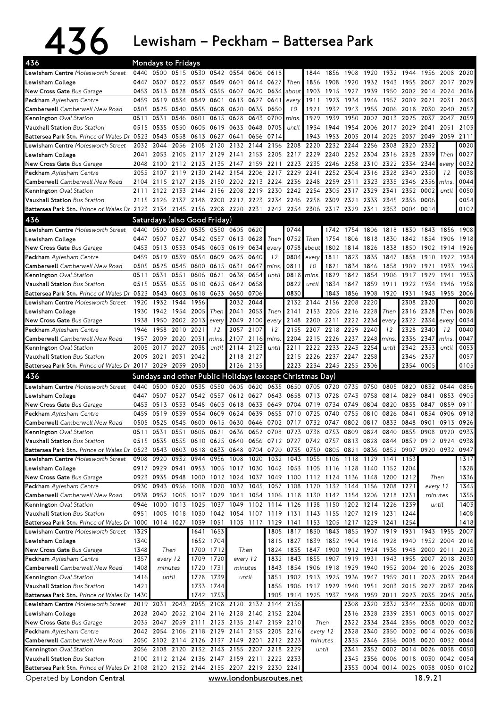## 436 Lewisham – Peckham – Battersea Park

| 436                                                                                                                |              | Mondays to Fridays |                                                                            |                                    |                |           |              |                                                             |              |                                         |                     |      |                          |                        |                     |                                                                                      |                |              |
|--------------------------------------------------------------------------------------------------------------------|--------------|--------------------|----------------------------------------------------------------------------|------------------------------------|----------------|-----------|--------------|-------------------------------------------------------------|--------------|-----------------------------------------|---------------------|------|--------------------------|------------------------|---------------------|--------------------------------------------------------------------------------------|----------------|--------------|
| <b>Lewisham Centre</b> Molesworth Street                                                                           |              |                    | 0440 0500 0515 0530 0542 0554 0606                                         |                                    |                |           |              | 0618                                                        |              | 1844                                    | 1856                | 1908 | 1920                     |                        | 1932 1944           | 1956                                                                                 | 2008           | 2020         |
| Lewisham College                                                                                                   | 0447         |                    | 0507 0522 0537 0549 0601 0614                                              |                                    |                |           |              | 0627                                                        | Then         | 1856                                    | 1908                | 1920 | 1932                     | 1943 1955              |                     | 2007                                                                                 | 2017           | 2029         |
| New Cross Gate Bus Garage                                                                                          | 0453         | 0513 0528          |                                                                            | 0543 0555 0607                     |                |           | 0620         | 0634                                                        | about        | 1903                                    | 1915                | 1927 | 1939                     |                        |                     | 1950 2002 2014                                                                       | 2024           | 2036         |
| Peckham Aylesham Centre                                                                                            | 0459         | 0519               | 0534                                                                       | 0549                               | 0601           | 0613      | 0627         | 0641                                                        | every        | 1911                                    | 1923                | 1934 | 1946                     | 1957                   | 2009                | 2021                                                                                 | 2031           | 2043         |
| Camberwell Camberwell New Road                                                                                     | 0505         | 0525               | 0540                                                                       | 0555                               | 0608 0620      |           | 0635         | 0650                                                        | 10           | 1921                                    | 1932                | 1943 | 1955                     | 2006                   | 2018                | 2030                                                                                 | 2040           | 2052         |
| Kennington Oval Station                                                                                            | 0511         | 0531               | 0546                                                                       | 0601                               |                | 0615 0628 | 0643         | 0700                                                        | mins.        | 1929                                    | 1939                | 1950 |                          | 2002 2013              | 2025                | 2037                                                                                 | 2047           | 2059         |
| Vauxhall Station Bus Station                                                                                       | 0515         | 0535               | 0550                                                                       | 0605                               | 0619 0633      |           | 0648         | 0705                                                        | until        | 1934                                    | 1944                | 1954 | 2006                     | 2017                   | 2029                | 2041                                                                                 | 2051           | 2103         |
| Battersea Park Stn. Prince of Wales Dr. 0523                                                                       |              | 0543               | 0558                                                                       |                                    | 0613 0627      | 0641      | 0656         | 0714                                                        |              | 1943                                    | 1953                | 2003 | 2014                     | 2025                   | 2037                | 2049                                                                                 | 2059           | 2111         |
| Lewisham Centre Molesworth Street                                                                                  | 2032         | 2044               | 2056                                                                       | 2108                               | 2120           | 2132      | 2144         |                                                             | 2156 2208    | 2220                                    | 2232                | 2244 | 2256                     | 2308                   | 2320                | 2332                                                                                 |                | 0020         |
| Lewisham College                                                                                                   | 2041         | 2053               | 2105                                                                       | 2117                               | 2129           | 2141      | 2153         | 2205 2217                                                   |              | 2229                                    | 2240 2252           |      | 2304                     |                        | 2316 2328           | 2339                                                                                 | Then           | 0027         |
| New Cross Gate Bus Garage                                                                                          | 2048         | 2100               |                                                                            | 2112 2123 2135                     |                | 2147      |              | 2159 2211                                                   | 2223         | 2235 2246 2258                          |                     |      |                          | 2310 2322 2334         |                     | 2344                                                                                 | every          | 0032         |
| Peckham Aylesham Centre                                                                                            | 2055         | 2107               | 2119                                                                       | 2130                               | 2142           | 2154      | 2206         | 2217 2229                                                   |              | 2241                                    | 2252 2304           |      | 2316                     | 2328                   | 2340                | 2350                                                                                 | 12             | 0038         |
| Camberwell Camberwell New Road                                                                                     |              |                    | 2104 2115 2127 2138 2150 2202 2213 2224 2236                               |                                    |                |           |              |                                                             |              | 2248 2259 2311                          |                     |      |                          | 2323 2335              | 2346                | 2356                                                                                 | mins.          | 0044         |
| Kennington Oval Station                                                                                            | 2111         | 2122               | 2133<br>2126 2137 2148 2200 2212 2223 2234 2246                            | 2144                               | 2156           | 2208      | 2219         |                                                             | 2230 2242    | 2254                                    | 2305                | 2317 | 2329                     | 2341                   | 2352                | 0002<br>0006                                                                         | until          | 0050<br>0054 |
| Vauxhall Station Bus Station<br>Battersea Park Stn. Prince of Wales Dr. 2123 2134 2145 2156 2208 2220 2231         | 2115         |                    |                                                                            |                                    |                |           |              | 2242 2254                                                   |              | 2258<br>2306 2317                       | 2309 2321           | 2329 | 2333<br>2341             | 2345 2356<br>2353      | 0004                | 0014                                                                                 |                | 0102         |
|                                                                                                                    |              |                    |                                                                            |                                    |                |           |              |                                                             |              |                                         |                     |      |                          |                        |                     |                                                                                      |                |              |
| 436                                                                                                                |              |                    | Saturdays (also Good Friday)                                               |                                    |                |           |              |                                                             |              |                                         |                     |      |                          |                        |                     |                                                                                      |                |              |
| Lewisham Centre Molesworth Street                                                                                  | 0440         | 0500               |                                                                            | 0520 0535 0550 0605 0620           |                |           |              |                                                             | 0744         |                                         | 1742                | 1754 | 1806                     | 1818                   | 1830                | 1843                                                                                 | 1856           | 1908         |
| Lewisham College                                                                                                   | 0447         | 0507               | 0527                                                                       | 0542 0557                          |                | 0613      | 0628         | Then                                                        | 0752         | Then                                    | 1754                | 1806 | 1818                     | 1830                   | 1842                | 1854                                                                                 | 1906           | 1918         |
| New Cross Gate Bus Garage                                                                                          | 0453         | 0513               | 0533                                                                       | 0548                               | 0603 0619      |           | 0634         | every                                                       |              | 0758 about                              | 1802                | 1814 | 1826                     | 1838                   | 1850                | 1902                                                                                 | 1914           | 1926         |
| Peckham Aylesham Centre                                                                                            | 0459         | 0519               | 0539                                                                       | 0554                               | 0609           | 0625      | 0640         | 12                                                          | 0804         | every                                   | 1811                | 1823 | 1835                     | 1847                   | 1858                | 1910                                                                                 | 1922           | 1934         |
| Camberwell Camberwell New Road                                                                                     | 0505         | 0525               | 0545                                                                       | 0600                               |                | 0615 0631 | 0647         | mins.                                                       | 0811         | 10                                      | 1821                | 1834 | 1846                     | 1858                   | 1909                | 1921                                                                                 | 1933           | 1945         |
| Kennington Oval Station                                                                                            | 0511         | 0531               | 0551                                                                       | 0606                               | 0621           | 0638      | 0654         | until                                                       | 0818         | mins.                                   | 1829                | 1842 | 1854                     | 1906                   | 1917                | 1929                                                                                 | 1941           | 1953         |
| Vauxhall Station Bus Station                                                                                       |              | 0515 0535 0555     |                                                                            |                                    | 0610 0625 0642 | 0650      | 0658<br>0706 |                                                             | 0822<br>0830 | until                                   | 1834                | 1847 | 1859                     | 1911                   | 1922                | 1934                                                                                 | 1946           | 1958<br>2006 |
| Battersea Park Stn. Prince of Wales Dr. 0523 0543 0603<br>Lewisham Centre Molesworth Street                        | 1920         | 1932               | 1944                                                                       | 0618 0633<br>1956                  |                | 2032      | 2044         |                                                             |              | 2132 2144 2156 2208                     | 1843                | 1856 | 1908<br>2220             | 1920                   | 1931<br>2308        | 1943<br>2320                                                                         | 1955           | 0020         |
| Lewisham College                                                                                                   | 1930         | 1942               | 1954                                                                       | 2005                               | Then           | 2041      | 2053         | Then                                                        | 2141         |                                         | 2153 2205 2216 2228 |      |                          | Then                   | 2316                | 2328                                                                                 | Then           | 0028         |
| New Cross Gate Bus Garage                                                                                          | 1938         | 1950               | 2002                                                                       | 2013                               | every          | 2049      | 2100         | every                                                       | 2148         | 2200                                    | 2211                | 2222 | 2234                     | every                  | 2322                | 2334                                                                                 | every          | 0034         |
| Peckham Aylesham Centre                                                                                            | 1946         | 1958               | 2010                                                                       | 2021                               | 12             | 2057      | 2107         | 12                                                          | 2155         | 2207                                    | 2218 2229           |      | 2240                     | 12                     | 2328                | 2340                                                                                 | 12             | 0040         |
| Camberwell Camberwell New Road                                                                                     | 1957         | 2009               | 2020                                                                       | 2031                               | mins.          | 2107      | 2116         | mins.                                                       | 2204         | 2215                                    | 2226 2237           |      | 2248                     | mins.                  | 2336                | 2347                                                                                 | <i>mins</i>    | 0047         |
| Kennington Oval Station                                                                                            | 2005         | 2017 2027          |                                                                            | 2038                               | until          | 2114      | 2123         | until                                                       | 2211         |                                         | 2222 2233 2243      |      | 2254                     | until                  | 2342                | 2353                                                                                 | until          | 0053         |
| Vauxhall Station Bus Station                                                                                       |              |                    | 2009 2021 2031                                                             | 2042                               |                | 2118      | 2127         |                                                             | 2215         | 2226 2237 2247                          |                     |      | 2258                     |                        | 2346                | 2357                                                                                 |                | 0057         |
| Battersea Park Stn. Prince of Wales Dr. 2017 2029 2039                                                             |              |                    |                                                                            | 2050                               |                | 2126      | 2135         |                                                             |              | 2223 2234 2245 2255                     |                     |      | 2306                     |                        | 2354                | 0005                                                                                 |                | 0105         |
| 436                                                                                                                |              |                    | Sundays and other Public Holidays (except Christmas Day)                   |                                    |                |           |              |                                                             |              |                                         |                     |      |                          |                        |                     |                                                                                      |                |              |
|                                                                                                                    |              |                    |                                                                            |                                    | 0550           |           | 0605 0620    | 0635 0650                                                   |              | 0705 0720 0735                          |                     |      | 0750                     | 0805 0820              |                     | 0832 0844                                                                            |                | 0856         |
|                                                                                                                    |              |                    |                                                                            |                                    |                |           |              |                                                             |              |                                         |                     |      |                          |                        |                     |                                                                                      |                |              |
| Lewisham Centre Molesworth Street                                                                                  | 0440         | 0500               | 0520                                                                       | 0535                               |                |           |              |                                                             |              |                                         |                     |      |                          |                        |                     |                                                                                      |                |              |
| Lewisham College                                                                                                   | 0447         | 0507 0527          |                                                                            | 0542 0557                          |                | 0612 0627 |              | 0643 0658                                                   |              | 0713 0728                               |                     | 0743 | 0758                     | 0814 0829              |                     | 0841                                                                                 | 0853           | 0905         |
| New Cross Gate Bus Garage                                                                                          | 0453         | 0513               | 0533                                                                       | 0548                               | 0603           | 0618      | 0633         | 0649 0704                                                   |              | 0719                                    | 0734                | 0749 | 0804                     | 0820                   | 0835                | 0847                                                                                 | 0859           | 0911         |
| Peckham Aylesham Centre                                                                                            | 0459         | 0519               | 0539                                                                       | 0554                               | 0609           | 0624      | 0639         | 0655                                                        | 0710         | 0725                                    | 0740                | 0755 | 0810                     | 0826                   | 0841                | 0854                                                                                 | 0906           | 0918         |
| Camberwell Camberwell New Road                                                                                     | 0505<br>0511 | 0525               | 0545                                                                       | 0600                               | 0615 0630      |           | 0646         | 0702 0717                                                   |              |                                         | 0732 0747           | 0802 | 0817                     | 0833                   | 0848                | 0901                                                                                 | 0913           | 0926         |
| Kennington Oval Station                                                                                            |              | 0531               | 0551                                                                       | 0606                               | 0621           | 0636      | 0652         | 0708                                                        | 0723         | 0738                                    | 0753                | 0809 | 0824                     | 0840                   | 0855                | 0908                                                                                 | 0920           | 0933         |
| Vauxhall Station Bus Station                                                                                       |              |                    |                                                                            |                                    |                |           |              |                                                             |              |                                         |                     |      |                          |                        |                     | 0515 0535 0555 0610 0625 0640 0656 0712 0727 0742 0757 0813 0828 0844 0859 0912 0924 |                | 0938         |
| Battersea Park Stn. Prince of Wales Dr. 0523 0543<br>Lewisham Centre Molesworth Street                             | 0908         | 0920               |                                                                            | 0603 0618 0633 0648<br>0932 0944   | 0956           | 1008      | 1020         | 0704 0720 0735                                              | 1032 1043    | 0750 0805 0821<br>1055 1106 1118        |                     |      | 1129                     | 0836 0852 0907<br>1141 | 1153                |                                                                                      | 0920 0932      | 0947<br>1317 |
| Lewisham College                                                                                                   |              |                    | 0917 0929 0941 0953 1005 1017 1030 1042 1053 1105 1116 1128 1140 1152 1204 |                                    |                |           |              |                                                             |              |                                         |                     |      |                          |                        |                     |                                                                                      |                | 1328         |
| New Cross Gate Bus Garage                                                                                          |              | 0923 0935          | 0948                                                                       |                                    |                |           |              | 1000 1012 1024 1037 1049 1100 1112 1124 1136 1148 1200 1212 |              |                                         |                     |      |                          |                        |                     | Then                                                                                 |                | 1336         |
| Peckham Aylesham Centre                                                                                            |              | 0930 0943          | 0956                                                                       | 1008                               | 1020           | 1032 1045 |              | 1057 1108                                                   |              | 1120 1132 1144 1156 1208                |                     |      |                          |                        | 1221                | every 12                                                                             |                | 1345         |
| Camberwell Camberwell New Road                                                                                     |              | 0938 0952          | 1005                                                                       | 1017                               | 1029 1041 1054 |           |              | 1106 1118                                                   |              |                                         |                     |      | 1130 1142 1154 1206 1218 |                        | 1231                | minutes                                                                              |                | 1355         |
| Kennington Oval Station                                                                                            | 0946         | 1000               | 1013                                                                       | 1025                               | 1037           | 1049      | 1102         | 1114 1126                                                   |              | 1138                                    | 1150                | 1202 | 1214                     | 1226                   | 1239                |                                                                                      | until          | 1403         |
| Vauxhall Station Bus Station                                                                                       |              |                    | 0951 1005 1018 1030 1042 1054 1107 1119 1131 1143 1155 1207 1219 1231 1244 |                                    |                |           |              |                                                             |              |                                         |                     |      |                          |                        |                     |                                                                                      |                |              |
| Battersea Park Stn. Prince of Wales Dr. 1000 1014 1027 1039 1051 1103 1117 1129 1141 1153 1205 1217 1229 1241 1254 |              |                    |                                                                            |                                    |                |           |              |                                                             |              |                                         |                     |      |                          |                        |                     |                                                                                      |                | 1408<br>1418 |
| Lewisham Centre Molesworth Street                                                                                  | 1329         |                    |                                                                            |                                    | 1641 1653      |           |              |                                                             |              | 1805 1817 1830 1843 1855 1907 1919 1931 |                     |      |                          |                        |                     |                                                                                      | 1943 1955 2007 |              |
| Lewisham College                                                                                                   | 1340         |                    |                                                                            |                                    | 1652 1704      |           |              |                                                             |              | 1816 1827 1839 1852 1904 1916 1928      |                     |      |                          |                        | 1940                | 1952 2004                                                                            |                | 2016         |
| New Cross Gate Bus Garage                                                                                          | 1348         |                    | Then                                                                       |                                    | 1700 1712      | Then      |              | 1824                                                        | 1835         | 1847 1900 1912 1924 1936 1948           |                     |      |                          |                        |                     | 2000 2011                                                                            |                | 2023         |
| Peckham Aylesham Centre                                                                                            | 1357         |                    | every 12                                                                   | 1709                               | 1720           | every 12  |              |                                                             | 1832 1843    | 1855 1907 1919 1931                     |                     |      |                          |                        |                     | 1943 1955 2007                                                                       |                | 2018 2030    |
| Camberwell Camberwell New Road                                                                                     | 1408         |                    | minutes                                                                    | 1720                               | 1731           | minutes   |              |                                                             |              |                                         |                     |      |                          |                        |                     | 1843 1854 1906 1918 1929 1940 1952 2004 2016 2026 2038                               |                |              |
| Kennington Oval Station                                                                                            | 1416         |                    | until                                                                      | 1728                               | 1739           |           | until        | 1851                                                        | 1902         | 1913 1925                               |                     | 1936 | 1947                     | 1959                   | 2011                | 2023                                                                                 | 2033           | 2044         |
| Vauxhall Station Bus Station                                                                                       | 1421         |                    |                                                                            |                                    | 1733 1744      |           |              |                                                             | 1856 1906    | 1917 1929 1940                          |                     |      | 1951                     |                        |                     | 2003 2015 2027                                                                       | 2037           | 2048         |
| Battersea Park Stn. Prince of Wales Dr.                                                                            | 1430         |                    |                                                                            | 1742                               | 1753           |           |              |                                                             |              | 1905 1914 1925 1937                     |                     | 1948 | 1959 2011                |                        |                     | 2023 2035                                                                            | 2045           | 2056         |
| Lewisham Centre Molesworth Street                                                                                  |              | 2019 2031          |                                                                            | 2043 2055 2108 2120 2132 2144 2156 |                |           |              |                                                             |              |                                         |                     |      |                          |                        |                     | 2308 2320 2332 2344 2356 0008                                                        |                |              |
| Lewisham College                                                                                                   |              | 2028 2040          |                                                                            | 2052 2104 2116 2128 2140 2152 2204 |                |           |              |                                                             |              |                                         |                     |      |                          |                        |                     | 2316 2328 2339 2351 0003 0015 0027                                                   |                |              |
| New Cross Gate Bus Garage                                                                                          |              |                    | 2035 2047 2059 2111 2123 2135 2147 2159 2210                               |                                    |                |           |              |                                                             |              | Then                                    |                     |      |                          |                        |                     | 2322 2334 2344 2356 0008 0020 0032                                                   |                | 0020         |
| Peckham Aylesham Centre                                                                                            |              | 2042 2054          | 2106                                                                       |                                    |                |           |              | 2118 2129 2141 2153 2205 2216                               |              | every 12                                |                     | 2328 | 2340                     |                        |                     | 2350 0002 0014 0026                                                                  |                | 0038         |
| Camberwell Camberwell New Road                                                                                     |              |                    | 2050 2102 2114 2126 2137 2149 2201                                         |                                    |                |           |              | 2212 2223                                                   |              | minutes                                 |                     | 2335 |                          |                        | 2346 2356 0008 0020 |                                                                                      | 0032 0044      |              |
| Kennington Oval Station                                                                                            |              |                    | 2056 2108 2120 2132 2143 2155                                              |                                    |                |           |              | 2207 2218 2229                                              |              | until                                   |                     | 2341 |                          |                        | 2352 0002 0014 0026 |                                                                                      | 0038           | 0050         |
| Vauxhall Station Bus Station                                                                                       |              |                    | 2100 2112 2124 2136 2147 2159 2211 2222 2233                               |                                    |                |           |              |                                                             |              |                                         |                     | 2345 |                          |                        |                     | 2356 0006 0018 0030 0042 0054                                                        |                |              |
| Battersea Park Stn. Prince of Wales Dr. 2108 2120 2132 2144 2155 2207 2219 2230 2241<br>Operated by London Central |              |                    |                                                                            |                                    |                |           |              | www.londonbusroutes.net                                     |              |                                         |                     |      |                          |                        |                     | 2353 0004 0014 0026 0038 0050 0102<br>18.9.21                                        |                |              |